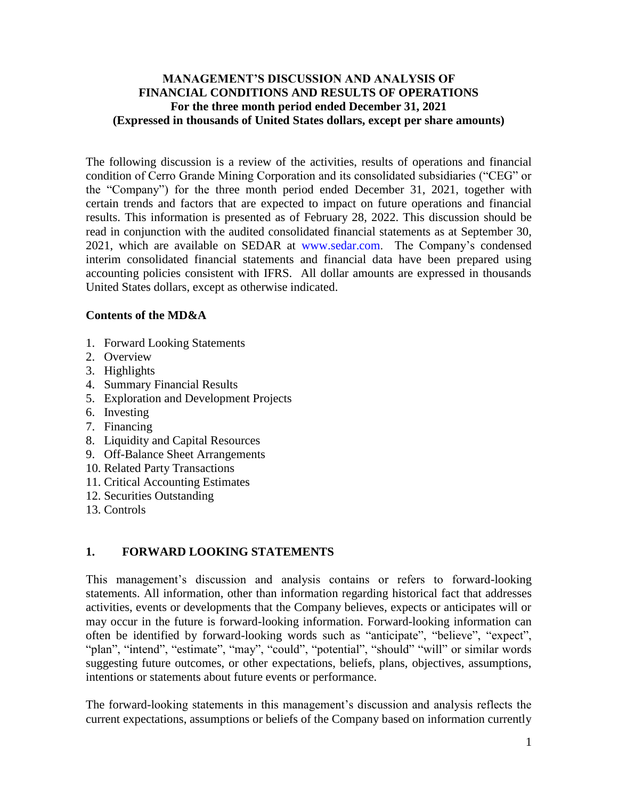### **MANAGEMENT'S DISCUSSION AND ANALYSIS OF FINANCIAL CONDITIONS AND RESULTS OF OPERATIONS For the three month period ended December 31, 2021 (Expressed in thousands of United States dollars, except per share amounts)**

The following discussion is a review of the activities, results of operations and financial condition of Cerro Grande Mining Corporation and its consolidated subsidiaries ("CEG" or the "Company") for the three month period ended December 31, 2021, together with certain trends and factors that are expected to impact on future operations and financial results. This information is presented as of February 28, 2022. This discussion should be read in conjunction with the audited consolidated financial statements as at September 30, 2021, which are available on SEDAR at www.sedar.com. The Company's condensed interim consolidated financial statements and financial data have been prepared using accounting policies consistent with IFRS. All dollar amounts are expressed in thousands United States dollars, except as otherwise indicated.

### **Contents of the MD&A**

- 1. Forward Looking Statements
- 2. Overview
- 3. Highlights
- 4. Summary Financial Results
- 5. Exploration and Development Projects
- 6. Investing
- 7. Financing
- 8. Liquidity and Capital Resources
- 9. Off-Balance Sheet Arrangements
- 10. Related Party Transactions
- 11. Critical Accounting Estimates
- 12. Securities Outstanding
- 13. Controls

# **1. FORWARD LOOKING STATEMENTS**

This management's discussion and analysis contains or refers to forward-looking statements. All information, other than information regarding historical fact that addresses activities, events or developments that the Company believes, expects or anticipates will or may occur in the future is forward-looking information. Forward-looking information can often be identified by forward-looking words such as "anticipate", "believe", "expect", "plan", "intend", "estimate", "may", "could", "potential", "should" "will" or similar words suggesting future outcomes, or other expectations, beliefs, plans, objectives, assumptions, intentions or statements about future events or performance.

The forward-looking statements in this management's discussion and analysis reflects the current expectations, assumptions or beliefs of the Company based on information currently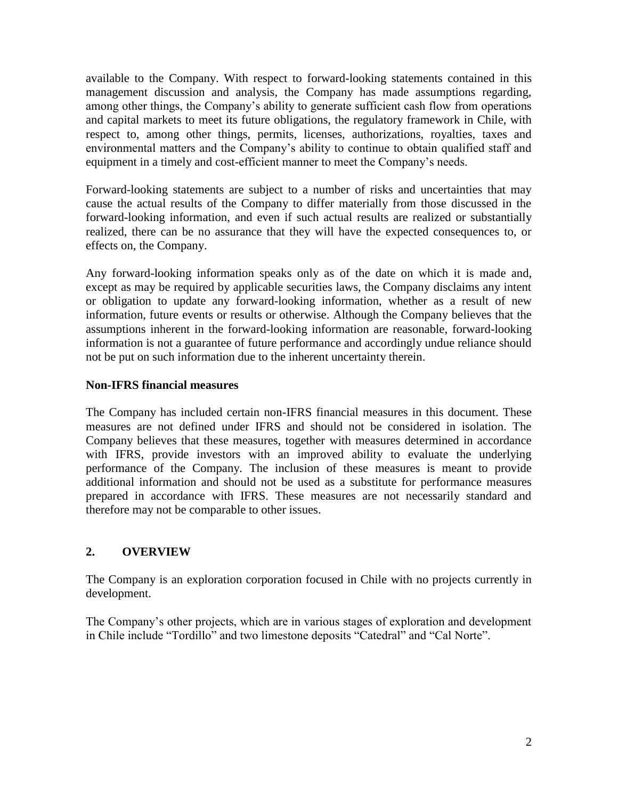available to the Company. With respect to forward-looking statements contained in this management discussion and analysis, the Company has made assumptions regarding, among other things, the Company's ability to generate sufficient cash flow from operations and capital markets to meet its future obligations, the regulatory framework in Chile, with respect to, among other things, permits, licenses, authorizations, royalties, taxes and environmental matters and the Company's ability to continue to obtain qualified staff and equipment in a timely and cost-efficient manner to meet the Company's needs.

Forward-looking statements are subject to a number of risks and uncertainties that may cause the actual results of the Company to differ materially from those discussed in the forward-looking information, and even if such actual results are realized or substantially realized, there can be no assurance that they will have the expected consequences to, or effects on, the Company.

Any forward-looking information speaks only as of the date on which it is made and, except as may be required by applicable securities laws, the Company disclaims any intent or obligation to update any forward-looking information, whether as a result of new information, future events or results or otherwise. Although the Company believes that the assumptions inherent in the forward-looking information are reasonable, forward-looking information is not a guarantee of future performance and accordingly undue reliance should not be put on such information due to the inherent uncertainty therein.

## **Non-IFRS financial measures**

The Company has included certain non-IFRS financial measures in this document. These measures are not defined under IFRS and should not be considered in isolation. The Company believes that these measures, together with measures determined in accordance with IFRS, provide investors with an improved ability to evaluate the underlying performance of the Company. The inclusion of these measures is meant to provide additional information and should not be used as a substitute for performance measures prepared in accordance with IFRS. These measures are not necessarily standard and therefore may not be comparable to other issues.

# **2. OVERVIEW**

The Company is an exploration corporation focused in Chile with no projects currently in development.

The Company's other projects, which are in various stages of exploration and development in Chile include "Tordillo" and two limestone deposits "Catedral" and "Cal Norte".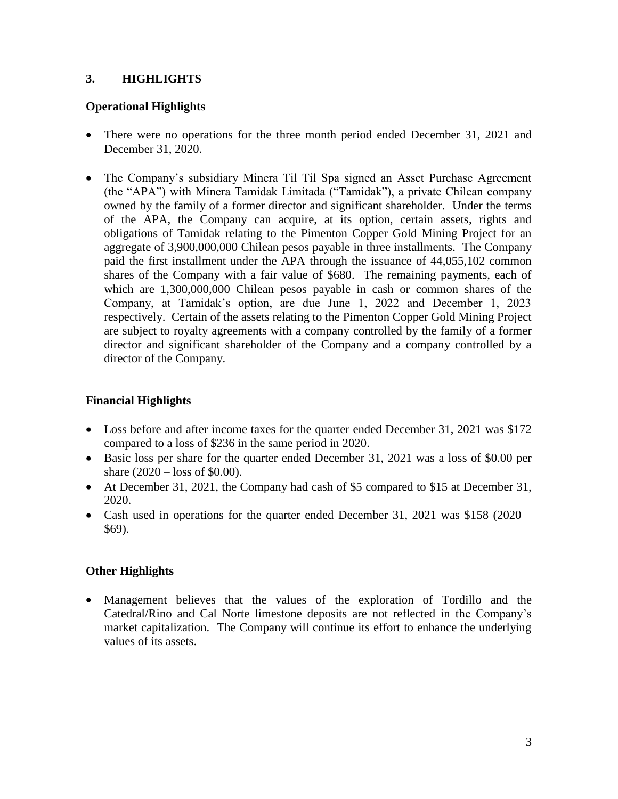# **3. HIGHLIGHTS**

## **Operational Highlights**

- There were no operations for the three month period ended December 31, 2021 and December 31, 2020.
- The Company's subsidiary Minera Til Til Spa signed an Asset Purchase Agreement (the "APA") with Minera Tamidak Limitada ("Tamidak"), a private Chilean company owned by the family of a former director and significant shareholder. Under the terms of the APA, the Company can acquire, at its option, certain assets, rights and obligations of Tamidak relating to the Pimenton Copper Gold Mining Project for an aggregate of 3,900,000,000 Chilean pesos payable in three installments. The Company paid the first installment under the APA through the issuance of 44,055,102 common shares of the Company with a fair value of \$680. The remaining payments, each of which are 1,300,000,000 Chilean pesos payable in cash or common shares of the Company, at Tamidak's option, are due June 1, 2022 and December 1, 2023 respectively. Certain of the assets relating to the Pimenton Copper Gold Mining Project are subject to royalty agreements with a company controlled by the family of a former director and significant shareholder of the Company and a company controlled by a director of the Company.

## **Financial Highlights**

- Loss before and after income taxes for the quarter ended December 31, 2021 was \$172 compared to a loss of \$236 in the same period in 2020.
- Basic loss per share for the quarter ended December 31, 2021 was a loss of \$0.00 per share (2020 – loss of \$0.00).
- At December 31, 2021, the Company had cash of \$5 compared to \$15 at December 31, 2020.
- Cash used in operations for the quarter ended December 31, 2021 was \$158 (2020 \$69).

# **Other Highlights**

 Management believes that the values of the exploration of Tordillo and the Catedral/Rino and Cal Norte limestone deposits are not reflected in the Company's market capitalization. The Company will continue its effort to enhance the underlying values of its assets.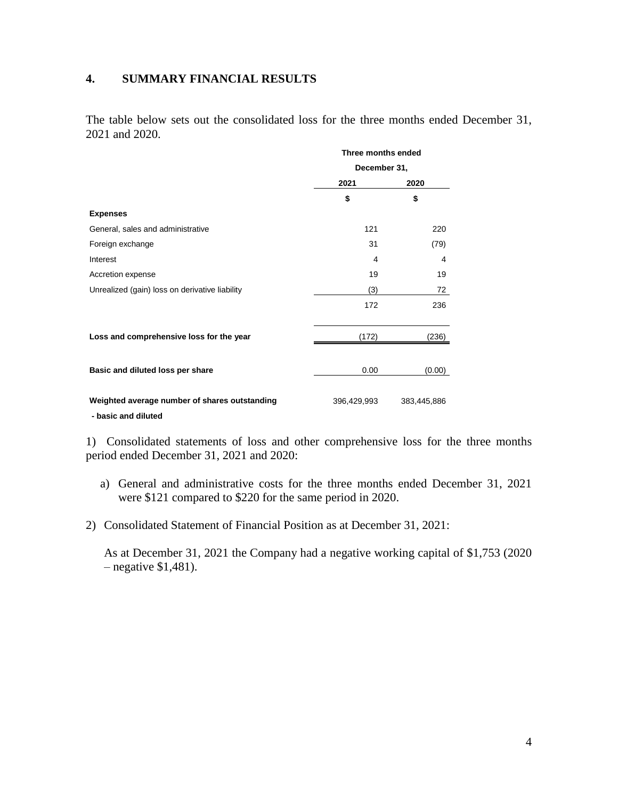#### **4. SUMMARY FINANCIAL RESULTS**

The table below sets out the consolidated loss for the three months ended December 31, 2021 and 2020.

|                                                                      |             | Three months ended<br>December 31, |  |  |
|----------------------------------------------------------------------|-------------|------------------------------------|--|--|
|                                                                      |             |                                    |  |  |
|                                                                      | 2021        | 2020                               |  |  |
|                                                                      | \$          | \$                                 |  |  |
| <b>Expenses</b>                                                      |             |                                    |  |  |
| General, sales and administrative                                    | 121         | 220                                |  |  |
| Foreign exchange                                                     | 31          | (79)                               |  |  |
| Interest                                                             | 4           | 4                                  |  |  |
| Accretion expense                                                    | 19          | 19                                 |  |  |
| Unrealized (gain) loss on derivative liability                       | (3)         | 72                                 |  |  |
|                                                                      | 172         | 236                                |  |  |
| Loss and comprehensive loss for the year                             | (172)       | (236)                              |  |  |
| Basic and diluted loss per share                                     | 0.00        | (0.00)                             |  |  |
| Weighted average number of shares outstanding<br>- basic and diluted | 396,429,993 | 383,445,886                        |  |  |

1) Consolidated statements of loss and other comprehensive loss for the three months period ended December 31, 2021 and 2020:

- a) General and administrative costs for the three months ended December 31, 2021 were \$121 compared to \$220 for the same period in 2020.
- 2) Consolidated Statement of Financial Position as at December 31, 2021:

As at December 31, 2021 the Company had a negative working capital of \$1,753 (2020 – negative \$1,481).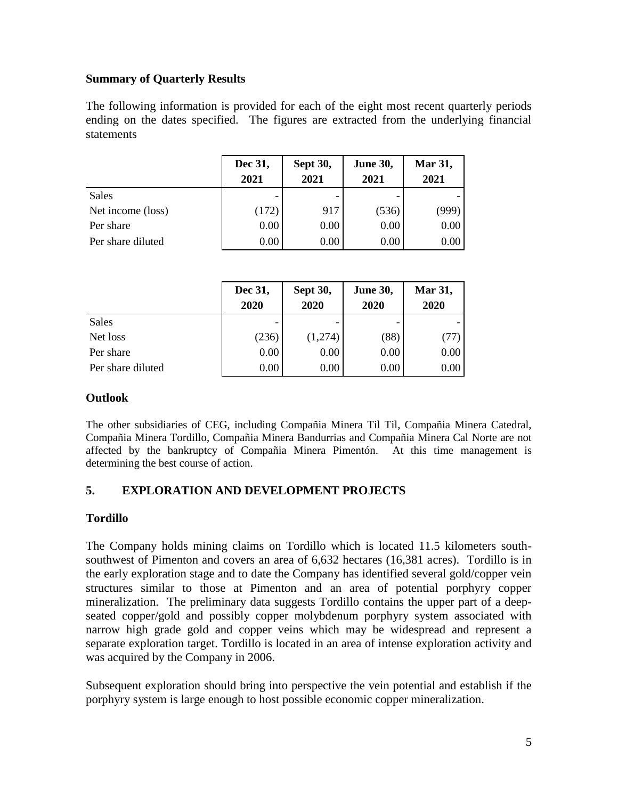## **Summary of Quarterly Results**

The following information is provided for each of the eight most recent quarterly periods ending on the dates specified. The figures are extracted from the underlying financial statements

|                   | Dec 31,<br>2021 | <b>Sept 30,</b><br>2021 | <b>June 30,</b><br>2021 | <b>Mar 31,</b><br>2021 |
|-------------------|-----------------|-------------------------|-------------------------|------------------------|
| <b>Sales</b>      |                 |                         |                         |                        |
| Net income (loss) | (172)           | 917                     | (536)                   | (999)                  |
| Per share         | 0.00            | 0.00                    | 0.00                    | 0.00                   |
| Per share diluted | 0.00            | 0.00                    | 0.00                    | 0.00                   |

|                   | Dec 31,<br>2020 | <b>Sept 30,</b><br>2020 | <b>June 30,</b><br>2020 | <b>Mar 31,</b><br>2020 |
|-------------------|-----------------|-------------------------|-------------------------|------------------------|
| <b>Sales</b>      |                 |                         |                         |                        |
| Net loss          | (236)           | (1,274)                 | (88)                    | (77)                   |
| Per share         | 0.00            | 0.00                    | 0.00                    | 0.00                   |
| Per share diluted | 0.00            | 0.00                    | 0.00                    | 0.00                   |

### **Outlook**

The other subsidiaries of CEG, including Compañia Minera Til Til, Compañia Minera Catedral, Compañia Minera Tordillo, Compañia Minera Bandurrias and Compañia Minera Cal Norte are not affected by the bankruptcy of Compañia Minera Pimentón. At this time management is determining the best course of action.

## **5. EXPLORATION AND DEVELOPMENT PROJECTS**

## **Tordillo**

The Company holds mining claims on Tordillo which is located 11.5 kilometers southsouthwest of Pimenton and covers an area of 6,632 hectares (16,381 acres). Tordillo is in the early exploration stage and to date the Company has identified several gold/copper vein structures similar to those at Pimenton and an area of potential porphyry copper mineralization. The preliminary data suggests Tordillo contains the upper part of a deepseated copper/gold and possibly copper molybdenum porphyry system associated with narrow high grade gold and copper veins which may be widespread and represent a separate exploration target. Tordillo is located in an area of intense exploration activity and was acquired by the Company in 2006.

Subsequent exploration should bring into perspective the vein potential and establish if the porphyry system is large enough to host possible economic copper mineralization.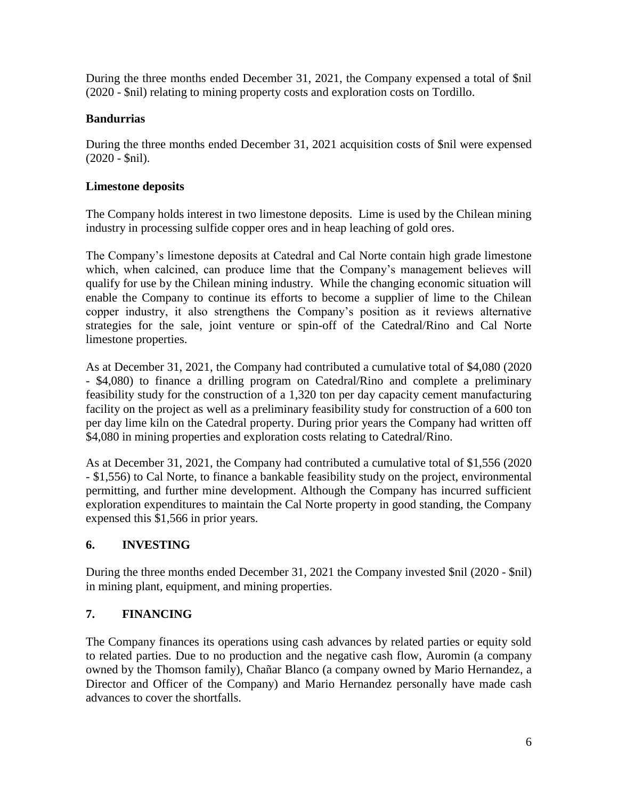During the three months ended December 31, 2021, the Company expensed a total of \$nil (2020 - \$nil) relating to mining property costs and exploration costs on Tordillo.

# **Bandurrias**

During the three months ended December 31, 2021 acquisition costs of \$nil were expensed (2020 - \$nil).

## **Limestone deposits**

The Company holds interest in two limestone deposits. Lime is used by the Chilean mining industry in processing sulfide copper ores and in heap leaching of gold ores.

The Company's limestone deposits at Catedral and Cal Norte contain high grade limestone which, when calcined, can produce lime that the Company's management believes will qualify for use by the Chilean mining industry. While the changing economic situation will enable the Company to continue its efforts to become a supplier of lime to the Chilean copper industry, it also strengthens the Company's position as it reviews alternative strategies for the sale, joint venture or spin-off of the Catedral/Rino and Cal Norte limestone properties.

As at December 31, 2021, the Company had contributed a cumulative total of \$4,080 (2020 - \$4,080) to finance a drilling program on Catedral/Rino and complete a preliminary feasibility study for the construction of a 1,320 ton per day capacity cement manufacturing facility on the project as well as a preliminary feasibility study for construction of a 600 ton per day lime kiln on the Catedral property. During prior years the Company had written off \$4,080 in mining properties and exploration costs relating to Catedral/Rino.

As at December 31, 2021, the Company had contributed a cumulative total of \$1,556 (2020 - \$1,556) to Cal Norte, to finance a bankable feasibility study on the project, environmental permitting, and further mine development. Although the Company has incurred sufficient exploration expenditures to maintain the Cal Norte property in good standing, the Company expensed this \$1,566 in prior years.

# **6. INVESTING**

During the three months ended December 31, 2021 the Company invested \$nil (2020 - \$nil) in mining plant, equipment, and mining properties.

# **7. FINANCING**

The Company finances its operations using cash advances by related parties or equity sold to related parties. Due to no production and the negative cash flow, Auromin (a company owned by the Thomson family), Chañar Blanco (a company owned by Mario Hernandez, a Director and Officer of the Company) and Mario Hernandez personally have made cash advances to cover the shortfalls.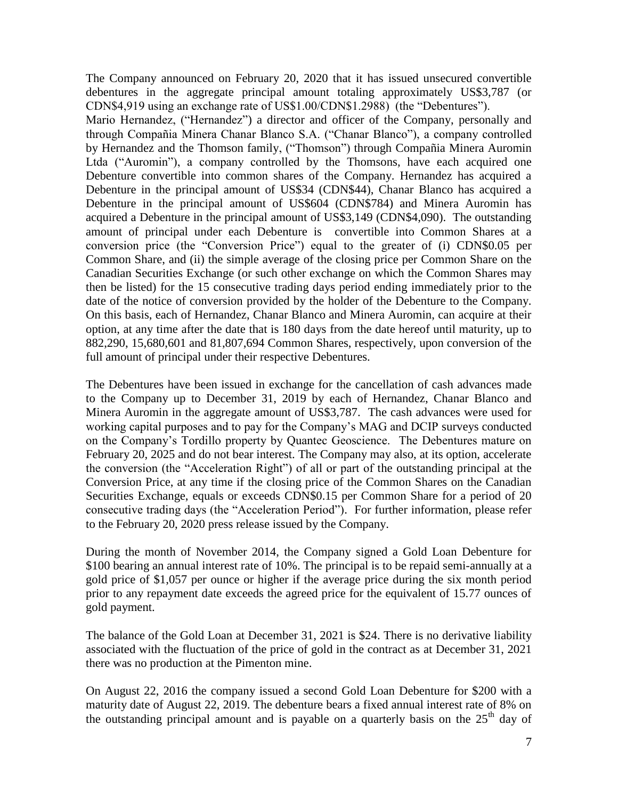The Company announced on February 20, 2020 that it has issued unsecured convertible debentures in the aggregate principal amount totaling approximately US\$3,787 (or CDN\$4,919 using an exchange rate of US\$1.00/CDN\$1.2988) (the "Debentures").

Mario Hernandez, ("Hernandez") a director and officer of the Company, personally and through Compañia Minera Chanar Blanco S.A. ("Chanar Blanco"), a company controlled by Hernandez and the Thomson family, ("Thomson") through Compañia Minera Auromin Ltda ("Auromin"), a company controlled by the Thomsons, have each acquired one Debenture convertible into common shares of the Company. Hernandez has acquired a Debenture in the principal amount of US\$34 (CDN\$44), Chanar Blanco has acquired a Debenture in the principal amount of US\$604 (CDN\$784) and Minera Auromin has acquired a Debenture in the principal amount of US\$3,149 (CDN\$4,090). The outstanding amount of principal under each Debenture is convertible into Common Shares at a conversion price (the "Conversion Price") equal to the greater of (i) CDN\$0.05 per Common Share, and (ii) the simple average of the closing price per Common Share on the Canadian Securities Exchange (or such other exchange on which the Common Shares may then be listed) for the 15 consecutive trading days period ending immediately prior to the date of the notice of conversion provided by the holder of the Debenture to the Company. On this basis, each of Hernandez, Chanar Blanco and Minera Auromin, can acquire at their option, at any time after the date that is 180 days from the date hereof until maturity, up to 882,290, 15,680,601 and 81,807,694 Common Shares, respectively, upon conversion of the full amount of principal under their respective Debentures.

The Debentures have been issued in exchange for the cancellation of cash advances made to the Company up to December 31, 2019 by each of Hernandez, Chanar Blanco and Minera Auromin in the aggregate amount of US\$3,787. The cash advances were used for working capital purposes and to pay for the Company's MAG and DCIP surveys conducted on the Company's Tordillo property by Quantec Geoscience. The Debentures mature on February 20, 2025 and do not bear interest. The Company may also, at its option, accelerate the conversion (the "Acceleration Right") of all or part of the outstanding principal at the Conversion Price, at any time if the closing price of the Common Shares on the Canadian Securities Exchange, equals or exceeds CDN\$0.15 per Common Share for a period of 20 consecutive trading days (the "Acceleration Period"). For further information, please refer to the February 20, 2020 press release issued by the Company.

During the month of November 2014, the Company signed a Gold Loan Debenture for \$100 bearing an annual interest rate of 10%. The principal is to be repaid semi-annually at a gold price of \$1,057 per ounce or higher if the average price during the six month period prior to any repayment date exceeds the agreed price for the equivalent of 15.77 ounces of gold payment.

The balance of the Gold Loan at December 31, 2021 is \$24. There is no derivative liability associated with the fluctuation of the price of gold in the contract as at December 31, 2021 there was no production at the Pimenton mine.

On August 22, 2016 the company issued a second Gold Loan Debenture for \$200 with a maturity date of August 22, 2019. The debenture bears a fixed annual interest rate of 8% on the outstanding principal amount and is payable on a quarterly basis on the  $25<sup>th</sup>$  day of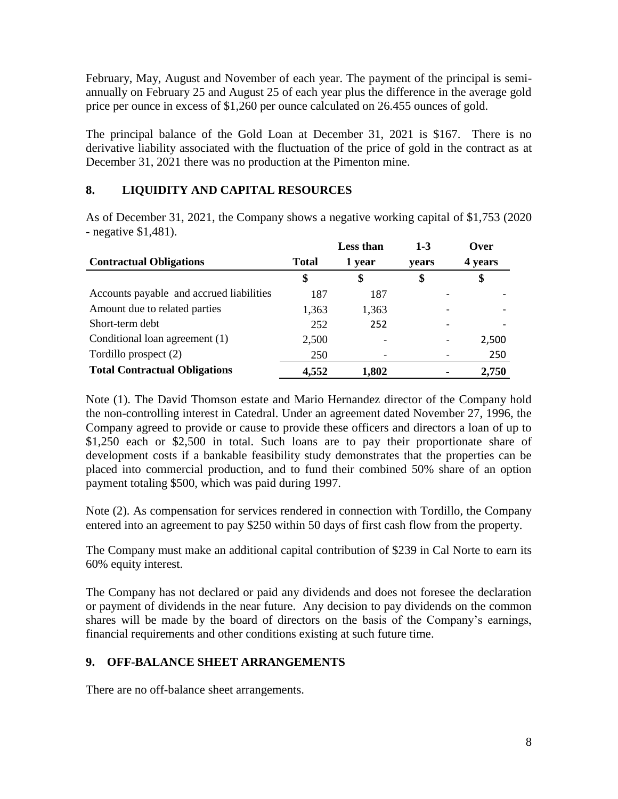February, May, August and November of each year. The payment of the principal is semiannually on February 25 and August 25 of each year plus the difference in the average gold price per ounce in excess of \$1,260 per ounce calculated on 26.455 ounces of gold.

The principal balance of the Gold Loan at December 31, 2021 is \$167. There is no derivative liability associated with the fluctuation of the price of gold in the contract as at December 31, 2021 there was no production at the Pimenton mine.

# **8. LIQUIDITY AND CAPITAL RESOURCES**

As of December 31, 2021, the Company shows a negative working capital of \$1,753 (2020 - negative \$1,481).

|                                          |              | <b>Less than</b> | $1 - 3$ | Over    |
|------------------------------------------|--------------|------------------|---------|---------|
| <b>Contractual Obligations</b>           | <b>Total</b> | 1 year           | vears   | 4 years |
|                                          | \$           | \$               |         | \$      |
| Accounts payable and accrued liabilities | 187          | 187              |         |         |
| Amount due to related parties            | 1,363        | 1,363            |         |         |
| Short-term debt                          | 252          | 252              |         |         |
| Conditional loan agreement (1)           | 2,500        |                  |         | 2,500   |
| Tordillo prospect (2)                    | 250          |                  |         | 250     |
| <b>Total Contractual Obligations</b>     | 4,552        | 1,802            |         | 2,750   |

Note (1). The David Thomson estate and Mario Hernandez director of the Company hold the non-controlling interest in Catedral. Under an agreement dated November 27, 1996, the Company agreed to provide or cause to provide these officers and directors a loan of up to \$1,250 each or \$2,500 in total. Such loans are to pay their proportionate share of development costs if a bankable feasibility study demonstrates that the properties can be placed into commercial production, and to fund their combined 50% share of an option payment totaling \$500, which was paid during 1997.

Note (2). As compensation for services rendered in connection with Tordillo, the Company entered into an agreement to pay \$250 within 50 days of first cash flow from the property.

The Company must make an additional capital contribution of \$239 in Cal Norte to earn its 60% equity interest.

The Company has not declared or paid any dividends and does not foresee the declaration or payment of dividends in the near future. Any decision to pay dividends on the common shares will be made by the board of directors on the basis of the Company's earnings, financial requirements and other conditions existing at such future time.

# **9. OFF-BALANCE SHEET ARRANGEMENTS**

There are no off-balance sheet arrangements.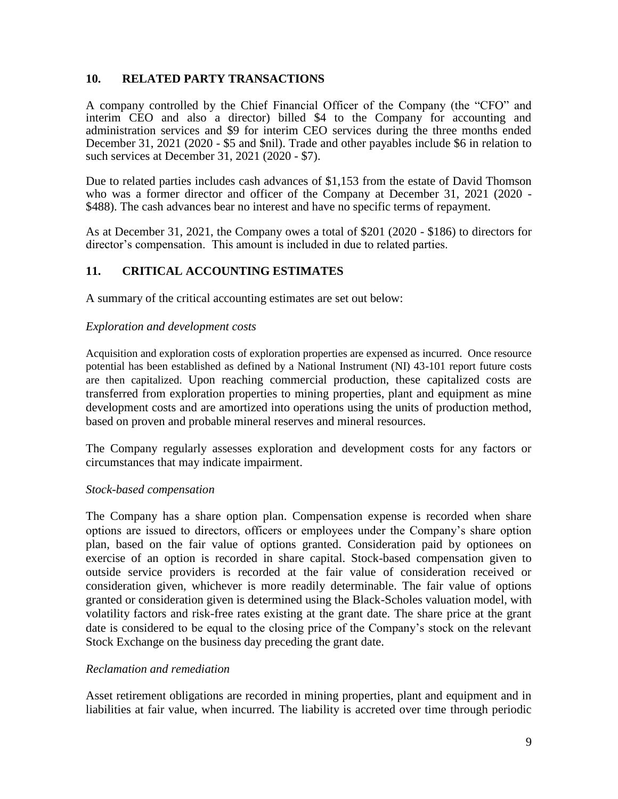### **10. RELATED PARTY TRANSACTIONS**

A company controlled by the Chief Financial Officer of the Company (the "CFO" and interim CEO and also a director) billed \$4 to the Company for accounting and administration services and \$9 for interim CEO services during the three months ended December 31, 2021 (2020 - \$5 and \$nil). Trade and other payables include \$6 in relation to such services at December 31, 2021 (2020 - \$7).

Due to related parties includes cash advances of \$1,153 from the estate of David Thomson who was a former director and officer of the Company at December 31, 2021 (2020 - \$488). The cash advances bear no interest and have no specific terms of repayment.

As at December 31, 2021, the Company owes a total of \$201 (2020 - \$186) to directors for director's compensation. This amount is included in due to related parties.

### **11. CRITICAL ACCOUNTING ESTIMATES**

A summary of the critical accounting estimates are set out below:

#### *Exploration and development costs*

Acquisition and exploration costs of exploration properties are expensed as incurred. Once resource potential has been established as defined by a National Instrument (NI) 43-101 report future costs are then capitalized. Upon reaching commercial production, these capitalized costs are transferred from exploration properties to mining properties, plant and equipment as mine development costs and are amortized into operations using the units of production method, based on proven and probable mineral reserves and mineral resources.

The Company regularly assesses exploration and development costs for any factors or circumstances that may indicate impairment.

#### *Stock-based compensation*

The Company has a share option plan. Compensation expense is recorded when share options are issued to directors, officers or employees under the Company's share option plan, based on the fair value of options granted. Consideration paid by optionees on exercise of an option is recorded in share capital. Stock-based compensation given to outside service providers is recorded at the fair value of consideration received or consideration given, whichever is more readily determinable. The fair value of options granted or consideration given is determined using the Black-Scholes valuation model, with volatility factors and risk-free rates existing at the grant date. The share price at the grant date is considered to be equal to the closing price of the Company's stock on the relevant Stock Exchange on the business day preceding the grant date.

#### *Reclamation and remediation*

Asset retirement obligations are recorded in mining properties, plant and equipment and in liabilities at fair value, when incurred. The liability is accreted over time through periodic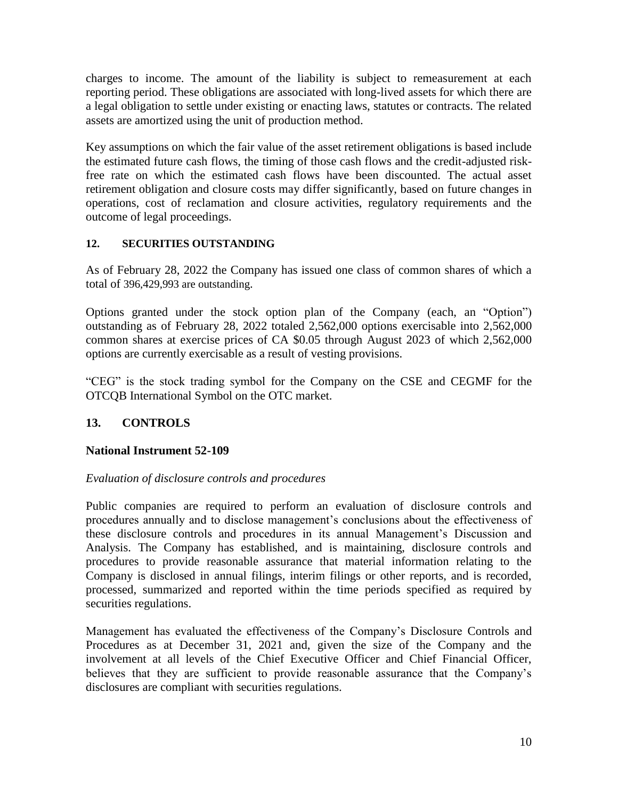charges to income. The amount of the liability is subject to remeasurement at each reporting period. These obligations are associated with long-lived assets for which there are a legal obligation to settle under existing or enacting laws, statutes or contracts. The related assets are amortized using the unit of production method.

Key assumptions on which the fair value of the asset retirement obligations is based include the estimated future cash flows, the timing of those cash flows and the credit-adjusted riskfree rate on which the estimated cash flows have been discounted. The actual asset retirement obligation and closure costs may differ significantly, based on future changes in operations, cost of reclamation and closure activities, regulatory requirements and the outcome of legal proceedings.

### **12. SECURITIES OUTSTANDING**

As of February 28, 2022 the Company has issued one class of common shares of which a total of 396,429,993 are outstanding.

Options granted under the stock option plan of the Company (each, an "Option") outstanding as of February 28, 2022 totaled 2,562,000 options exercisable into 2,562,000 common shares at exercise prices of CA \$0.05 through August 2023 of which 2,562,000 options are currently exercisable as a result of vesting provisions.

"CEG" is the stock trading symbol for the Company on the CSE and CEGMF for the OTCQB International Symbol on the OTC market.

## **13. CONTROLS**

## **National Instrument 52-109**

#### *Evaluation of disclosure controls and procedures*

Public companies are required to perform an evaluation of disclosure controls and procedures annually and to disclose management's conclusions about the effectiveness of these disclosure controls and procedures in its annual Management's Discussion and Analysis. The Company has established, and is maintaining, disclosure controls and procedures to provide reasonable assurance that material information relating to the Company is disclosed in annual filings, interim filings or other reports, and is recorded, processed, summarized and reported within the time periods specified as required by securities regulations.

Management has evaluated the effectiveness of the Company's Disclosure Controls and Procedures as at December 31, 2021 and, given the size of the Company and the involvement at all levels of the Chief Executive Officer and Chief Financial Officer, believes that they are sufficient to provide reasonable assurance that the Company's disclosures are compliant with securities regulations.